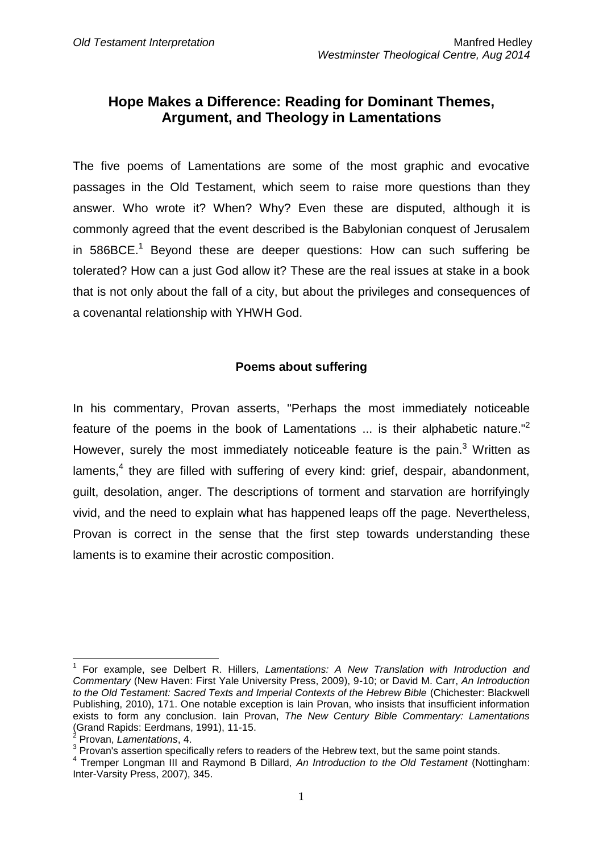## **Hope Makes a Difference: Reading for Dominant Themes, Argument, and Theology in Lamentations**

The five poems of Lamentations are some of the most graphic and evocative passages in the Old Testament, which seem to raise more questions than they answer. Who wrote it? When? Why? Even these are disputed, although it is commonly agreed that the event described is the Babylonian conquest of Jerusalem in 586BCE.<sup>1</sup> Beyond these are deeper questions: How can such suffering be tolerated? How can a just God allow it? These are the real issues at stake in a book that is not only about the fall of a city, but about the privileges and consequences of a covenantal relationship with YHWH God.

### **Poems about suffering**

In his commentary, Provan asserts, "Perhaps the most immediately noticeable feature of the poems in the book of Lamentations  $\ldots$  is their alphabetic nature." However, surely the most immediately noticeable feature is the pain.<sup>3</sup> Written as laments,<sup>4</sup> they are filled with suffering of every kind: grief, despair, abandonment, guilt, desolation, anger. The descriptions of torment and starvation are horrifyingly vivid, and the need to explain what has happened leaps off the page. Nevertheless, Provan is correct in the sense that the first step towards understanding these laments is to examine their acrostic composition.

 $\overline{1}$ 

<sup>1</sup> For example, see Delbert R. Hillers, *Lamentations: A New Translation with Introduction and Commentary* (New Haven: First Yale University Press, 2009), 9-10; or David M. Carr, *An Introduction to the Old Testament: Sacred Texts and Imperial Contexts of the Hebrew Bible* (Chichester: Blackwell Publishing, 2010), 171. One notable exception is Iain Provan, who insists that insufficient information exists to form any conclusion. Iain Provan, *The New Century Bible Commentary: Lamentations* (Grand Rapids: Eerdmans, 1991), 11-15. 2

Provan, *Lamentations*, 4.

 $3$  Provan's assertion specifically refers to readers of the Hebrew text, but the same point stands.

<sup>4</sup> Tremper Longman III and Raymond B Dillard, *An Introduction to the Old Testament* (Nottingham: Inter-Varsity Press, 2007), 345.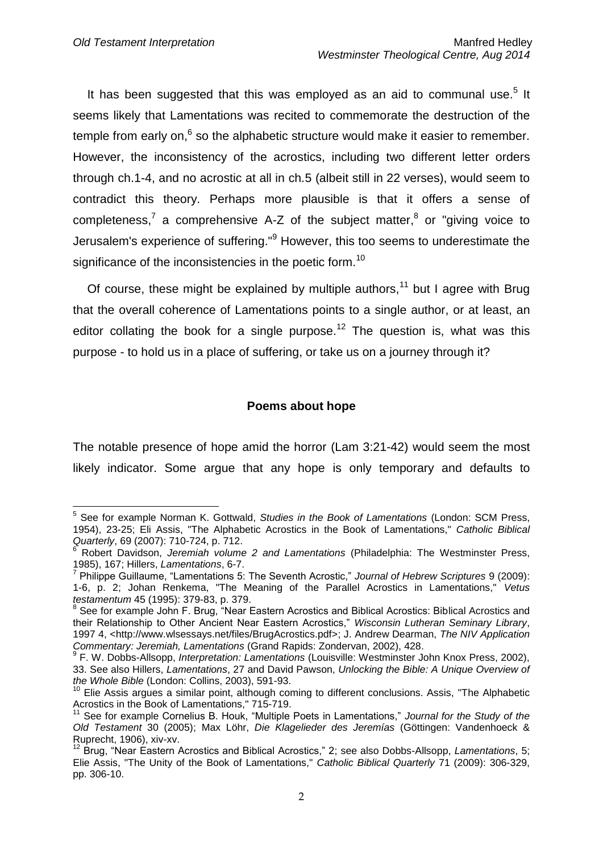It has been suggested that this was employed as an aid to communal use.<sup>5</sup> It seems likely that Lamentations was recited to commemorate the destruction of the temple from early on, $6$  so the alphabetic structure would make it easier to remember. However, the inconsistency of the acrostics, including two different letter orders through ch.1-4, and no acrostic at all in ch.5 (albeit still in 22 verses), would seem to contradict this theory. Perhaps more plausible is that it offers a sense of completeness,<sup>7</sup> a comprehensive A-Z of the subject matter,<sup>8</sup> or "giving voice to Jerusalem's experience of suffering."<sup>9</sup> However, this too seems to underestimate the significance of the inconsistencies in the poetic form.<sup>10</sup>

Of course, these might be explained by multiple authors,<sup>11</sup> but I agree with Brug that the overall coherence of Lamentations points to a single author, or at least, an editor collating the book for a single purpose.<sup>12</sup> The question is, what was this purpose - to hold us in a place of suffering, or take us on a journey through it?

### **Poems about hope**

The notable presence of hope amid the horror (Lam 3:21-42) would seem the most likely indicator. Some argue that any hope is only temporary and defaults to

 5 See for example Norman K. Gottwald, *Studies in the Book of Lamentations* (London: SCM Press, 1954), 23-25; Eli Assis, "The Alphabetic Acrostics in the Book of Lamentations," *Catholic Biblical Quarterly*, 69 (2007): 710-724, p. 712.

<sup>&</sup>lt;sup>6</sup> Robert Davidson, Jeremiah volume 2 and Lamentations (Philadelphia: The Westminster Press,

<sup>1985), 167;</sup> Hillers, *Lamentations*, 6-7. 7 Philippe Guillaume, "Lamentations 5: The Seventh Acrostic," *Journal of Hebrew Scriptures* 9 (2009): 1-6, p. 2; Johan Renkema, "The Meaning of the Parallel Acrostics in Lamentations," *Vetus testamentum* 45 (1995): 379-83, p. 379. 8

See for example John F. Brug, "Near Eastern Acrostics and Biblical Acrostics: Biblical Acrostics and their Relationship to Other Ancient Near Eastern Acrostics," *Wisconsin Lutheran Seminary Library*, 1997 4, <http://www.wlsessays.net/files/BrugAcrostics.pdf>; J. Andrew Dearman, *The NIV Application Commentary: Jeremiah, Lamentations* (Grand Rapids: Zondervan, 2002), 428.

<sup>9</sup> F. W. Dobbs-Allsopp, *Interpretation: Lamentations* (Louisville: Westminster John Knox Press, 2002), 33. See also Hillers, *Lamentations*, 27 and David Pawson, *Unlocking the Bible: A Unique Overview of the Whole Bible* (London: Collins, 2003), 591-93.

<sup>&</sup>lt;sup>10</sup> Elie Assis argues a similar point, although coming to different conclusions. Assis, "The Alphabetic Acrostics in the Book of Lamentations," 715-719.

<sup>11</sup> See for example Cornelius B. Houk, "Multiple Poets in Lamentations," *Journal for the Study of the Old Testament* 30 (2005); Max Löhr, *Die Klagelieder des Jeremías* (Göttingen: Vandenhoeck & Ruprecht, 1906), xiv-xv.

<sup>12</sup> Brug, "Near Eastern Acrostics and Biblical Acrostics," 2; see also Dobbs-Allsopp, *Lamentations*, 5; Elie Assis, "The Unity of the Book of Lamentations," *Catholic Biblical Quarterly* 71 (2009): 306-329, pp. 306-10.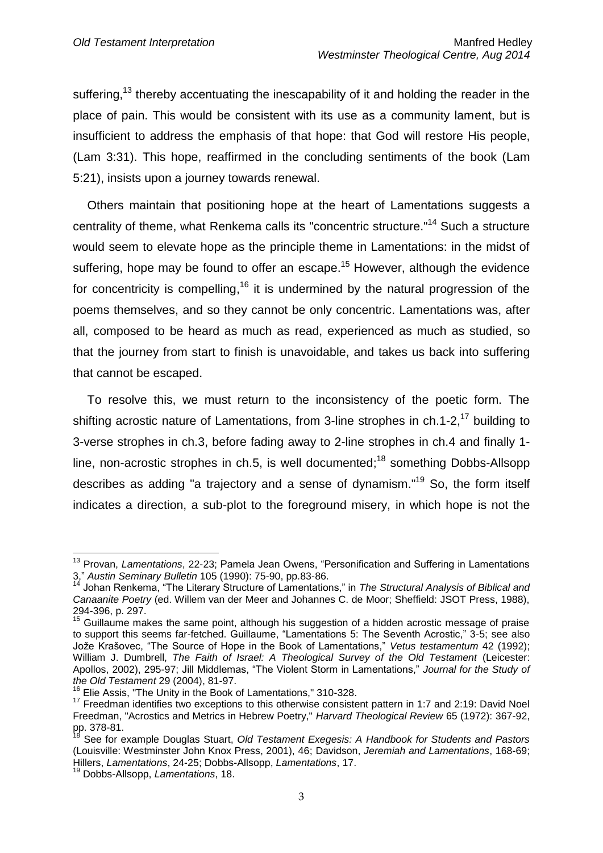suffering,<sup>13</sup> thereby accentuating the inescapability of it and holding the reader in the place of pain. This would be consistent with its use as a community lament, but is insufficient to address the emphasis of that hope: that God will restore His people, (Lam 3:31). This hope, reaffirmed in the concluding sentiments of the book (Lam 5:21), insists upon a journey towards renewal.

Others maintain that positioning hope at the heart of Lamentations suggests a centrality of theme, what Renkema calls its "concentric structure."<sup>14</sup> Such a structure would seem to elevate hope as the principle theme in Lamentations: in the midst of suffering, hope may be found to offer an escape.<sup>15</sup> However, although the evidence for concentricity is compelling,<sup>16</sup> it is undermined by the natural progression of the poems themselves, and so they cannot be only concentric. Lamentations was, after all, composed to be heard as much as read, experienced as much as studied, so that the journey from start to finish is unavoidable, and takes us back into suffering that cannot be escaped.

To resolve this, we must return to the inconsistency of the poetic form. The shifting acrostic nature of Lamentations, from 3-line strophes in  $ch.1-2$ ,<sup>17</sup> building to 3-verse strophes in ch.3, before fading away to 2-line strophes in ch.4 and finally 1 line, non-acrostic strophes in ch.5, is well documented;<sup>18</sup> something Dobbs-Allsopp describes as adding "a trajectory and a sense of dynamism."<sup>19</sup> So, the form itself indicates a direction, a sub-plot to the foreground misery, in which hope is not the

<sup>1</sup> <sup>13</sup> Provan, *Lamentations*, 22-23; Pamela Jean Owens, "Personification and Suffering in Lamentations 3," *Austin Seminary Bulletin* 105 (1990): 75-90, pp.83-86.

<sup>14</sup> Johan Renkema, "The Literary Structure of Lamentations," in *The Structural Analysis of Biblical and Canaanite Poetry* (ed. Willem van der Meer and Johannes C. de Moor; Sheffield: JSOT Press, 1988), 294-396, p. 297.

<sup>&</sup>lt;sup>15</sup> Guillaume makes the same point, although his suggestion of a hidden acrostic message of praise to support this seems far-fetched. Guillaume, "Lamentations 5: The Seventh Acrostic," 3-5; see also Jože Krašovec, "The Source of Hope in the Book of Lamentations," *Vetus testamentum* 42 (1992); William J. Dumbrell, *The Faith of Israel: A Theological Survey of the Old Testament* (Leicester: Apollos, 2002), 295-97; Jill Middlemas, "The Violent Storm in Lamentations," *Journal for the Study of the Old Testament* 29 (2004), 81-97.

<sup>16</sup> Elie Assis, "The Unity in the Book of Lamentations," 310-328.

<sup>&</sup>lt;sup>17</sup> Freedman identifies two exceptions to this otherwise consistent pattern in 1:7 and 2:19: David Noel Freedman, "Acrostics and Metrics in Hebrew Poetry," *Harvard Theological Review* 65 (1972): 367-92, pp. 378-81.

<sup>18</sup> See for example Douglas Stuart, *Old Testament Exegesis: A Handbook for Students and Pastors* (Louisville: Westminster John Knox Press, 2001), 46; Davidson, *Jeremiah and Lamentations*, 168-69; Hillers, *Lamentations*, 24-25; Dobbs-Allsopp, *Lamentations*, 17.

<sup>19</sup> Dobbs-Allsopp, *Lamentations*, 18.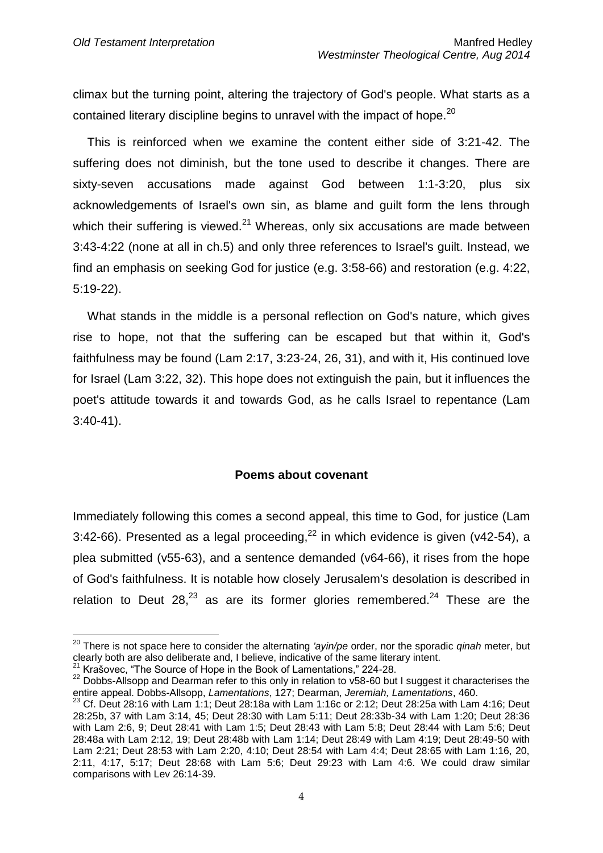climax but the turning point, altering the trajectory of God's people. What starts as a contained literary discipline begins to unravel with the impact of hope.<sup>20</sup>

This is reinforced when we examine the content either side of 3:21-42. The suffering does not diminish, but the tone used to describe it changes. There are sixty-seven accusations made against God between 1:1-3:20, plus six acknowledgements of Israel's own sin, as blame and guilt form the lens through which their suffering is viewed. $^{21}$  Whereas, only six accusations are made between 3:43-4:22 (none at all in ch.5) and only three references to Israel's guilt. Instead, we find an emphasis on seeking God for justice (e.g. 3:58-66) and restoration (e.g. 4:22, 5:19-22).

What stands in the middle is a personal reflection on God's nature, which gives rise to hope, not that the suffering can be escaped but that within it, God's faithfulness may be found (Lam 2:17, 3:23-24, 26, 31), and with it, His continued love for Israel (Lam 3:22, 32). This hope does not extinguish the pain, but it influences the poet's attitude towards it and towards God, as he calls Israel to repentance (Lam 3:40-41).

### **Poems about covenant**

Immediately following this comes a second appeal, this time to God, for justice (Lam 3:42-66). Presented as a legal proceeding, $^{22}$  in which evidence is given (v42-54), a plea submitted (v55-63), and a sentence demanded (v64-66), it rises from the hope of God's faithfulness. It is notable how closely Jerusalem's desolation is described in relation to Deut 28, $^{23}$  as are its former glories remembered.<sup>24</sup> These are the

<sup>20</sup> There is not space here to consider the alternating *'ayin/pe* order, nor the sporadic *qinah* meter, but clearly both are also deliberate and, I believe, indicative of the same literary intent.

Krašovec. "The Source of Hope in the Book of Lamentations," 224-28.

<sup>&</sup>lt;sup>22</sup> Dobbs-Allsopp and Dearman refer to this only in relation to v58-60 but I suggest it characterises the entire appeal. Dobbs-Allsopp, *Lamentations*, 127; Dearman, *Jeremiah, Lamentations*, 460.

 $23$  Cf. Deut 28:16 with Lam 1:1; Deut 28:18a with Lam 1:16c or 2:12; Deut 28:25a with Lam 4:16; Deut 28:25b, 37 with Lam 3:14, 45; Deut 28:30 with Lam 5:11; Deut 28:33b-34 with Lam 1:20; Deut 28:36 with Lam 2:6, 9; Deut 28:41 with Lam 1:5; Deut 28:43 with Lam 5:8; Deut 28:44 with Lam 5:6; Deut 28:48a with Lam 2:12, 19; Deut 28:48b with Lam 1:14; Deut 28:49 with Lam 4:19; Deut 28:49-50 with Lam 2:21; Deut 28:53 with Lam 2:20, 4:10; Deut 28:54 with Lam 4:4; Deut 28:65 with Lam 1:16, 20, 2:11, 4:17, 5:17; Deut 28:68 with Lam 5:6; Deut 29:23 with Lam 4:6. We could draw similar comparisons with Lev 26:14-39.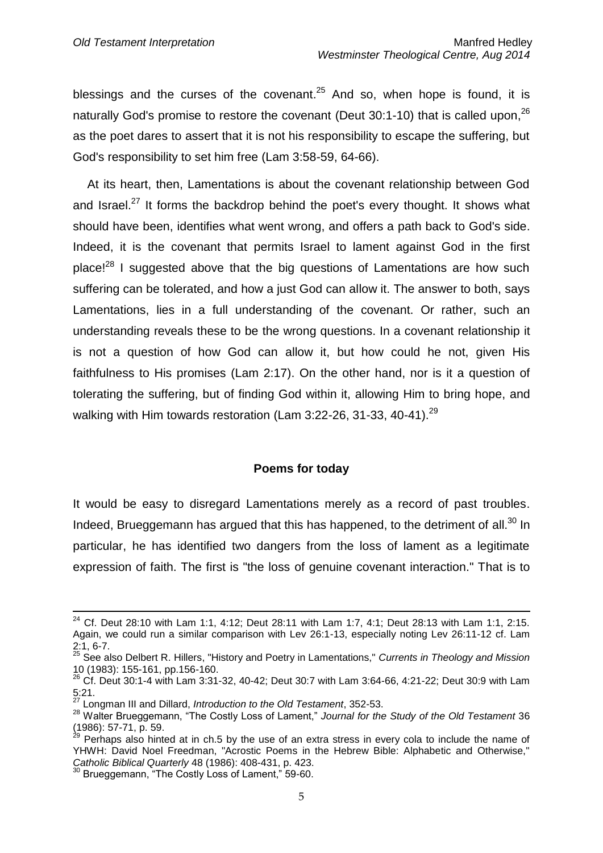blessings and the curses of the covenant.<sup>25</sup> And so, when hope is found, it is naturally God's promise to restore the covenant (Deut 30:1-10) that is called upon,  $^{26}$ as the poet dares to assert that it is not his responsibility to escape the suffering, but God's responsibility to set him free (Lam 3:58-59, 64-66).

At its heart, then, Lamentations is about the covenant relationship between God and Israel. $^{27}$  It forms the backdrop behind the poet's every thought. It shows what should have been, identifies what went wrong, and offers a path back to God's side. Indeed, it is the covenant that permits Israel to lament against God in the first place!<sup>28</sup> I suggested above that the big questions of Lamentations are how such suffering can be tolerated, and how a just God can allow it. The answer to both, says Lamentations, lies in a full understanding of the covenant. Or rather, such an understanding reveals these to be the wrong questions. In a covenant relationship it is not a question of how God can allow it, but how could he not, given His faithfulness to His promises (Lam 2:17). On the other hand, nor is it a question of tolerating the suffering, but of finding God within it, allowing Him to bring hope, and walking with Him towards restoration (Lam 3:22-26, 31-33, 40-41).<sup>29</sup>

#### **Poems for today**

It would be easy to disregard Lamentations merely as a record of past troubles. Indeed, Brueggemann has argued that this has happened, to the detriment of all.<sup>30</sup> In particular, he has identified two dangers from the loss of lament as a legitimate expression of faith. The first is "the loss of genuine covenant interaction." That is to

<sup>&</sup>lt;sup>24</sup> Cf. Deut 28:10 with Lam 1:1, 4:12; Deut 28:11 with Lam 1:7, 4:1; Deut 28:13 with Lam 1:1, 2:15. Again, we could run a similar comparison with Lev 26:1-13, especially noting Lev 26:11-12 cf. Lam 2:1, 6-7.

<sup>25</sup> See also Delbert R. Hillers, "History and Poetry in Lamentations," *Currents in Theology and Mission* 10 (1983): 155-161, pp.156-160. 10 (1983): 155-161, pp.156-160.<br><sup>26</sup> Cf. Deut 30:1-4 with Lam 3:31-32, 40-42; Deut 30:7 with Lam 3:64-66, 4:21-22; Deut 30:9 with Lam

 $\frac{5:21}{27}$ .

<sup>27</sup> Longman III and Dillard, *Introduction to the Old Testament*, 352-53.

<sup>28</sup> Walter Brueggemann, "The Costly Loss of Lament," *Journal for the Study of the Old Testament* 36  $(1986)$ : 57-71, p. 59.

Perhaps also hinted at in ch.5 by the use of an extra stress in every cola to include the name of YHWH: David Noel Freedman, "Acrostic Poems in the Hebrew Bible: Alphabetic and Otherwise," *Catholic Biblical Quarterly* 48 (1986): 408-431, p. 423.

Brueggemann, "The Costly Loss of Lament," 59-60.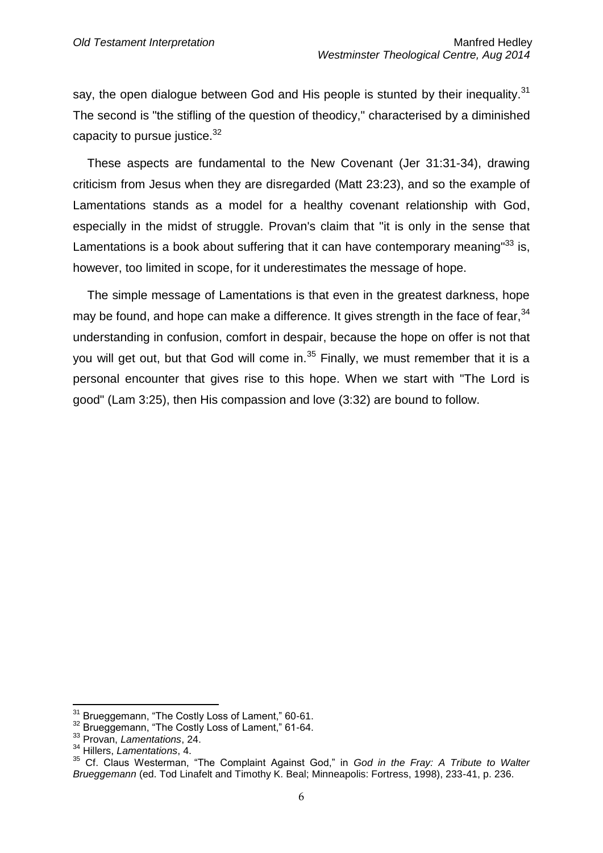say, the open dialogue between God and His people is stunted by their inequality.<sup>31</sup> The second is "the stifling of the question of theodicy," characterised by a diminished capacity to pursue justice. $32$ 

These aspects are fundamental to the New Covenant (Jer 31:31-34), drawing criticism from Jesus when they are disregarded (Matt 23:23), and so the example of Lamentations stands as a model for a healthy covenant relationship with God, especially in the midst of struggle. Provan's claim that "it is only in the sense that Lamentations is a book about suffering that it can have contemporary meaning"<sup>33</sup> is, however, too limited in scope, for it underestimates the message of hope.

The simple message of Lamentations is that even in the greatest darkness, hope may be found, and hope can make a difference. It gives strength in the face of fear.<sup>34</sup> understanding in confusion, comfort in despair, because the hope on offer is not that you will get out, but that God will come in. $35$  Finally, we must remember that it is a personal encounter that gives rise to this hope. When we start with "The Lord is good" (Lam 3:25), then His compassion and love (3:32) are bound to follow.

<sup>&</sup>lt;sup>31</sup> Brueggemann, "The Costly Loss of Lament," 60-61.

<sup>&</sup>lt;sup>32</sup> Brueggemann, "The Costly Loss of Lament," 61-64.

<sup>33</sup> Provan, *Lamentations*, 24.

<sup>34</sup> Hillers, *Lamentations*, 4.

<sup>35</sup> Cf. Claus Westerman, "The Complaint Against God," in *God in the Fray: A Tribute to Walter Brueggemann* (ed. Tod Linafelt and Timothy K. Beal; Minneapolis: Fortress, 1998), 233-41, p. 236.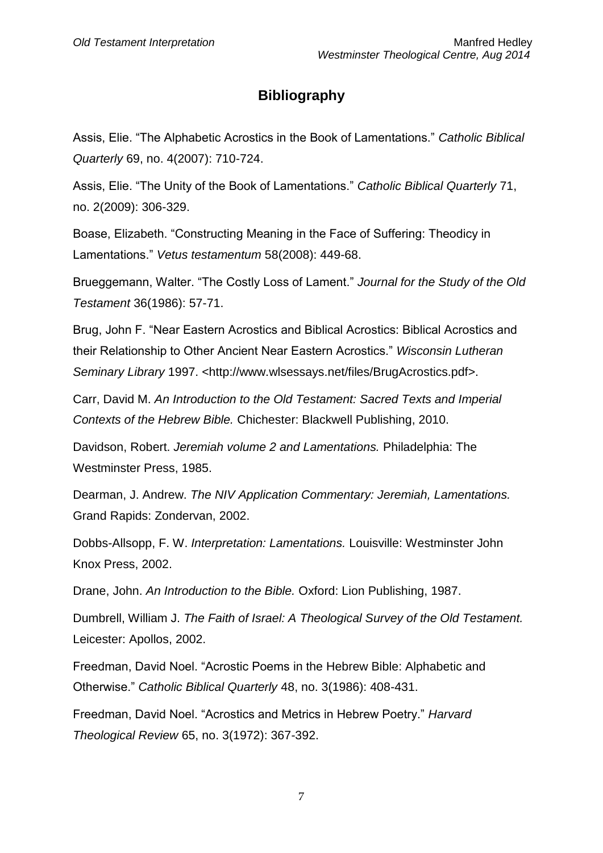# **Bibliography**

Assis, Elie. "The Alphabetic Acrostics in the Book of Lamentations." *Catholic Biblical Quarterly* 69, no. 4(2007): 710-724.

Assis, Elie. "The Unity of the Book of Lamentations." *Catholic Biblical Quarterly* 71, no. 2(2009): 306-329.

Boase, Elizabeth. "Constructing Meaning in the Face of Suffering: Theodicy in Lamentations." *Vetus testamentum* 58(2008): 449-68.

Brueggemann, Walter. "The Costly Loss of Lament." *Journal for the Study of the Old Testament* 36(1986): 57-71.

Brug, John F. "Near Eastern Acrostics and Biblical Acrostics: Biblical Acrostics and their Relationship to Other Ancient Near Eastern Acrostics." *Wisconsin Lutheran*  Seminary Library 1997. <http://www.wlsessays.net/files/BrugAcrostics.pdf>.

Carr, David M. *An Introduction to the Old Testament: Sacred Texts and Imperial Contexts of the Hebrew Bible.* Chichester: Blackwell Publishing, 2010.

Davidson, Robert. *Jeremiah volume 2 and Lamentations.* Philadelphia: The Westminster Press, 1985.

Dearman, J. Andrew. *The NIV Application Commentary: Jeremiah, Lamentations.* Grand Rapids: Zondervan, 2002.

Dobbs-Allsopp, F. W. *Interpretation: Lamentations.* Louisville: Westminster John Knox Press, 2002.

Drane, John. *An Introduction to the Bible.* Oxford: Lion Publishing, 1987.

Dumbrell, William J. *The Faith of Israel: A Theological Survey of the Old Testament.* Leicester: Apollos, 2002.

Freedman, David Noel. "Acrostic Poems in the Hebrew Bible: Alphabetic and Otherwise." *Catholic Biblical Quarterly* 48, no. 3(1986): 408-431.

Freedman, David Noel. "Acrostics and Metrics in Hebrew Poetry." *Harvard Theological Review* 65, no. 3(1972): 367-392.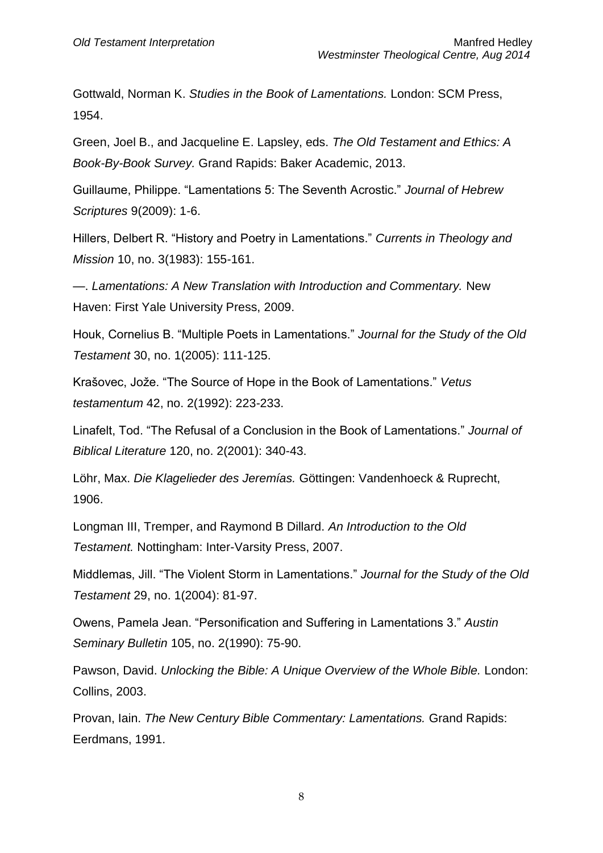Gottwald, Norman K. *Studies in the Book of Lamentations.* London: SCM Press, 1954.

Green, Joel B., and Jacqueline E. Lapsley, eds. *The Old Testament and Ethics: A Book-By-Book Survey.* Grand Rapids: Baker Academic, 2013.

Guillaume, Philippe. "Lamentations 5: The Seventh Acrostic." *Journal of Hebrew Scriptures* 9(2009): 1-6.

Hillers, Delbert R. "History and Poetry in Lamentations." *Currents in Theology and Mission* 10, no. 3(1983): 155-161.

—. *Lamentations: A New Translation with Introduction and Commentary.* New Haven: First Yale University Press, 2009.

Houk, Cornelius B. "Multiple Poets in Lamentations." *Journal for the Study of the Old Testament* 30, no. 1(2005): 111-125.

Krašovec, Jože. "The Source of Hope in the Book of Lamentations." *Vetus testamentum* 42, no. 2(1992): 223-233.

Linafelt, Tod. "The Refusal of a Conclusion in the Book of Lamentations." *Journal of Biblical Literature* 120, no. 2(2001): 340-43.

Löhr, Max. *Die Klagelieder des Jeremías.* Göttingen: Vandenhoeck & Ruprecht, 1906.

Longman III, Tremper, and Raymond B Dillard. *An Introduction to the Old Testament.* Nottingham: Inter-Varsity Press, 2007.

Middlemas, Jill. "The Violent Storm in Lamentations." *Journal for the Study of the Old Testament* 29, no. 1(2004): 81-97.

Owens, Pamela Jean. "Personification and Suffering in Lamentations 3." *Austin Seminary Bulletin* 105, no. 2(1990): 75-90.

Pawson, David. *Unlocking the Bible: A Unique Overview of the Whole Bible.* London: Collins, 2003.

Provan, Iain. *The New Century Bible Commentary: Lamentations.* Grand Rapids: Eerdmans, 1991.